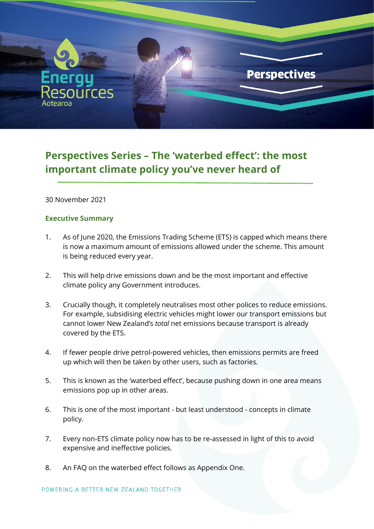

# **Perspectives Series – The 'waterbed effect': the most important climate policy you've never heard of**

30 November 2021

#### **Executive Summary**

- 1. As of June 2020, the Emissions Trading Scheme (ETS) is capped which means there is now a maximum amount of emissions allowed under the scheme. This amount is being reduced every year.
- 2. This will help drive emissions down and be the most important and effective climate policy any Government introduces.
- 3. Crucially though, it completely neutralises most other polices to reduce emissions. For example, subsidising electric vehicles might lower our transport emissions but cannot lower New Zealand's *total* net emissions because transport is already covered by the ETS.
- 4. If fewer people drive petrol-powered vehicles, then emissions permits are freed up which will then be taken by other users, such as factories.
- 5. This is known as the 'waterbed effect', because pushing down in one area means emissions pop up in other areas.
- 6. This is one of the most important but least understood concepts in climate policy.
- 7. Every non-ETS climate policy now has to be re-assessed in light of this to avoid expensive and ineffective policies.
- 8. An FAQ on the waterbed effect follows as Appendix One.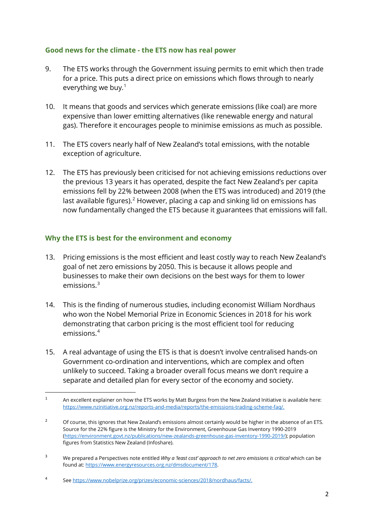## **Good news for the climate - the ETS now has real power**

- 9. The ETS works through the Government issuing permits to emit which then trade for a price. This puts a direct price on emissions which flows through to nearly everything we buy. [1](#page-1-0)
- 10. It means that goods and services which generate emissions (like coal) are more expensive than lower emitting alternatives (like renewable energy and natural gas). Therefore it encourages people to minimise emissions as much as possible.
- 11. The ETS covers nearly half of New Zealand's total emissions, with the notable exception of agriculture.
- 12. The ETS has previously been criticised for not achieving emissions reductions over the previous 13 years it has operated, despite the fact New Zealand's per capita emissions fell by 22% between 2008 (when the ETS was introduced) and 2019 (the last available figures).<sup>[2](#page-1-1)</sup> However, placing a cap and sinking lid on emissions has now fundamentally changed the ETS because it guarantees that emissions will fall.

## **Why the ETS is best for the environment and economy**

- 13. Pricing emissions is the most efficient and least costly way to reach New Zealand's goal of net zero emissions by 2050. This is because it allows people and businesses to make their own decisions on the best ways for them to lower emissions. [3](#page-1-2)
- 14. This is the finding of numerous studies, including economist William Nordhaus who won the Nobel Memorial Prize in Economic Sciences in 2018 for his work demonstrating that carbon pricing is the most efficient tool for reducing emissions.[4](#page-1-3)
- 15. A real advantage of using the ETS is that is doesn't involve centralised hands-on Government co-ordination and interventions, which are complex and often unlikely to succeed. Taking a broader overall focus means we don't require a separate and detailed plan for every sector of the economy and society.

<span id="page-1-2"></span><sup>3</sup> We prepared a Perspectives note entitled *Why a 'least cost' approach to net zero emissions is critical* which can be found at[: https://www.energyresources.org.nz/dmsdocument/178.](https://www.energyresources.org.nz/dmsdocument/178)

<span id="page-1-0"></span><sup>&</sup>lt;sup>1</sup> An excellent explainer on how the ETS works by Matt Burgess from the New Zealand Initiative is available here: [https://www.nzinitiative.org.nz/reports-and-media/reports/the-emissions-trading-scheme-faq/.](https://www.nzinitiative.org.nz/reports-and-media/reports/the-emissions-trading-scheme-faq/)

<span id="page-1-1"></span><sup>&</sup>lt;sup>2</sup> Of course, this ignores that New Zealand's emissions almost certainly would be higher in the absence of an ETS. Source for the 22% figure is the Ministry for the Environment, Greenhouse Gas Inventory 1990-2019 [\(https://environment.govt.nz/publications/new-zealands-greenhouse-gas-inventory-1990-2019/\)](https://environment.govt.nz/publications/new-zealands-greenhouse-gas-inventory-1990-2019/); population figures from Statistics New Zealand (Infoshare).

<span id="page-1-3"></span><sup>4</sup> See [https://www.nobelprize.org/prizes/economic-sciences/2018/nordhaus/facts/.](https://www.nobelprize.org/prizes/economic-sciences/2018/nordhaus/facts/)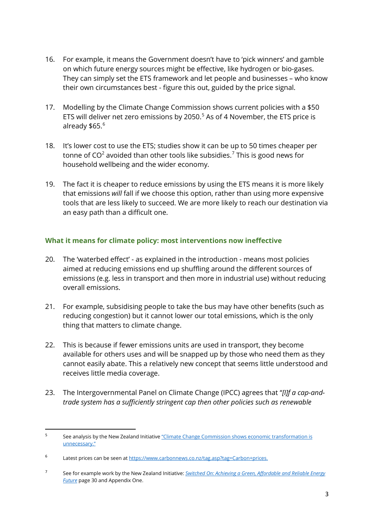- 16. For example, it means the Government doesn't have to 'pick winners' and gamble on which future energy sources might be effective, like hydrogen or bio-gases. They can simply set the ETS framework and let people and businesses – who know their own circumstances best - figure this out, guided by the price signal.
- 17. Modelling by the Climate Change Commission shows current policies with a \$50 ETS will deliver net zero emissions by 2050. [5](#page-2-0) As of 4 November, the ETS price is already \$[6](#page-2-1)5.<sup>6</sup>
- 18. It's lower cost to use the ETS; studies show it can be up to 50 times cheaper per tonne of  $CO<sup>2</sup>$  avoided than other tools like subsidies.<sup>[7](#page-2-2)</sup> This is good news for household wellbeing and the wider economy.
- 19. The fact it is cheaper to reduce emissions by using the ETS means it is more likely that emissions *will* fall if we choose this option, rather than using more expensive tools that are less likely to succeed. We are more likely to reach our destination via an easy path than a difficult one.

# **What it means for climate policy: most interventions now ineffective**

- 20. The 'waterbed effect' as explained in the introduction means most policies aimed at reducing emissions end up shuffling around the different sources of emissions (e.g. less in transport and then more in industrial use) without reducing overall emissions.
- 21. For example, subsidising people to take the bus may have other benefits (such as reducing congestion) but it cannot lower our total emissions, which is the only thing that matters to climate change.
- 22. This is because if fewer emissions units are used in transport, they become available for others uses and will be snapped up by those who need them as they cannot easily abate. This a relatively new concept that seems little understood and receives little media coverage.
- 23. The Intergovernmental Panel on Climate Change (IPCC) agrees that "*[I]f a cap-andtrade system has a sufficiently stringent cap then other policies such as renewable*

<span id="page-2-0"></span><sup>5</sup> See analysis by the New Zealand Initiative "Climate Change Commission shows economic transformation is [unnecessary."](https://www.nzinitiative.org.nz/reports-and-media/media/media-release-climate-change-commission-shows-economic-transformation-is-unnecessary/)

<span id="page-2-1"></span><sup>6</sup> Latest prices can be seen a[t https://www.carbonnews.co.nz/tag.asp?tag=Carbon+prices.](https://www.carbonnews.co.nz/tag.asp?tag=Carbon+prices)

<span id="page-2-2"></span><sup>7</sup> See for example work by the New Zealand Initiative: *[Switched On: Achieving a Green, Affordable and Reliable Energy](https://www.nzinitiative.org.nz/reports-and-media/reports/switched-on-achieving-a-green-affordable-and-reliable-energy-future/)  [Future](https://www.nzinitiative.org.nz/reports-and-media/reports/switched-on-achieving-a-green-affordable-and-reliable-energy-future/)* page 30 and Appendix One.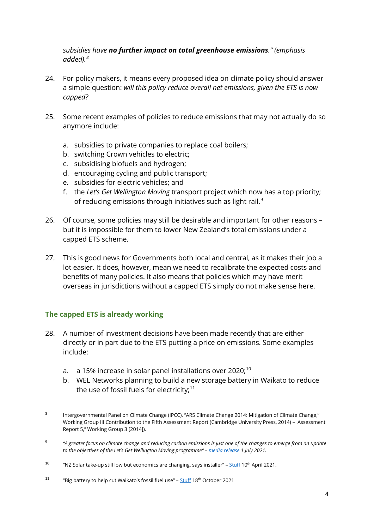## *subsidies have no further impact on total greenhouse emissions." (emphasis added).[8](#page-3-0)*

- 24. For policy makers, it means every proposed idea on climate policy should answer a simple question: *will this policy reduce overall net emissions, given the ETS is now capped?*
- 25. Some recent examples of policies to reduce emissions that may not actually do so anymore include:
	- a. subsidies to private companies to replace coal boilers;
	- b. switching Crown vehicles to electric;
	- c. subsidising biofuels and hydrogen;
	- d. encouraging cycling and public transport;
	- e. subsidies for electric vehicles; and
	- f. the *Let's Get Wellington Moving* transport project which now has a top priority; of reducing emissions through initiatives such as light rail.<sup>[9](#page-3-1)</sup>
- 26. Of course, some policies may still be desirable and important for other reasons but it is impossible for them to lower New Zealand's total emissions under a capped ETS scheme.
- 27. This is good news for Governments both local and central, as it makes their job a lot easier. It does, however, mean we need to recalibrate the expected costs and benefits of many policies. It also means that policies which may have merit overseas in jurisdictions without a capped ETS simply do not make sense here.

# **The capped ETS is already working**

- 28. A number of investment decisions have been made recently that are either directly or in part due to the ETS putting a price on emissions. Some examples include:
	- a.  $\,$  a 15% increase in solar panel installations over 2020; $^{10}$  $^{10}$  $^{10}$
	- b. WEL Networks planning to build a new storage battery in Waikato to reduce the use of fossil fuels for electricity; $^{\rm 11}$  $^{\rm 11}$  $^{\rm 11}$

<span id="page-3-0"></span><sup>8</sup> Intergovernmental Panel on Climate Change (IPCC), "AR5 Climate Change 2014: Mitigation of Climate Change," Working Group III Contribution to the Fifth Assessment Report (Cambridge University Press, 2014) – Assessment Report 5," Working Group 3 [2014]).

<span id="page-3-1"></span><sup>9</sup> *"A greater focus on climate change and reducing carbon emissions is just one of the changes to emerge from an update to the objectives of the Let's Get Wellington Moving programme" – [media release](https://lgwm.nz/news-and-media/news/partners-aligned-on-refreshed-programme-priorities-for-lets-get-wellington-moving/) 1 July 2021.*

<span id="page-3-2"></span><sup>&</sup>lt;sup>10</sup> "NZ Solar take-up still low but economics are changing, says installer" – [Stuff](https://www.stuff.co.nz/business/green-business/124788036/nz-solar-power-takeup-still-low-but-economics-are-changing-says-installer#:%7E:text=At%20the%20end%20of%20February,1%20per%20cent%20on%20January.) 10<sup>th</sup> April 2021.

<span id="page-3-3"></span><sup>&</sup>lt;sup>11</sup> "Big battery to help cut Waikato's fossil fuel use" – [Stuff](https://www.stuff.co.nz/waikato-times/news/126710234/big-battery-to-help-cut-waikatos-fossil-fuel-emissions) 18<sup>th</sup> October 2021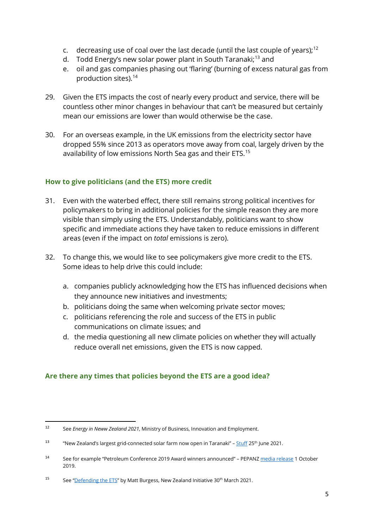- c. decreasing use of coal over the last decade (until the last couple of years);<sup>[12](#page-4-0)</sup>
- d. Todd Energy's new solar power plant in South Taranaki;<sup>[13](#page-4-1)</sup> and
- e. oil and gas companies phasing out 'flaring' (burning of excess natural gas from production sites). [14](#page-4-2)
- 29. Given the ETS impacts the cost of nearly every product and service, there will be countless other minor changes in behaviour that can't be measured but certainly mean our emissions are lower than would otherwise be the case.
- 30. For an overseas example, in the UK emissions from the electricity sector have dropped 55% since 2013 as operators move away from coal, largely driven by the availability of low emissions North Sea gas and their ETS.[15](#page-4-3)

# **How to give politicians (and the ETS) more credit**

- 31. Even with the waterbed effect, there still remains strong political incentives for policymakers to bring in additional policies for the simple reason they are more visible than simply using the ETS. Understandably, politicians want to show specific and immediate actions they have taken to reduce emissions in different areas (even if the impact on *total* emissions is zero).
- 32. To change this, we would like to see policymakers give more credit to the ETS. Some ideas to help drive this could include:
	- a. companies publicly acknowledging how the ETS has influenced decisions when they announce new initiatives and investments;
	- b. politicians doing the same when welcoming private sector moves;
	- c. politicians referencing the role and success of the ETS in public communications on climate issues; and
	- d. the media questioning all new climate policies on whether they will actually reduce overall net emissions, given the ETS is now capped.

# **Are there any times that policies beyond the ETS are a good idea?**

<span id="page-4-0"></span><sup>12</sup> See *Energy in Neww Zealand 2021*, Ministry of Business, Innovation and Employment.

<span id="page-4-1"></span><sup>&</sup>lt;sup>13</sup> "New Zealand's largest grid-connected solar farm now open in Taranaki" – [Stuff](https://www.stuff.co.nz/taranaki-daily-news/news/300341373/new-zealands-largest-gridconnected-solar-farm-now-open-in-taranaki) 25<sup>th</sup> June 2021.

<span id="page-4-2"></span><sup>14</sup> See for example "Petroleum Conference 2019 Award winners announced" – PEPAN[Z media release](https://www.energyresources.org.nz/news/petroleum-conference-2019-award-winners-announced/) 1 October 2019.

<span id="page-4-3"></span><sup>&</sup>lt;sup>15</sup> See ["Defending the ETS"](https://www.nzinitiative.org.nz/reports-and-media/opinion/defending-the-ets/) by Matt Burgess, New Zealand Initiative 30<sup>th</sup> March 2021.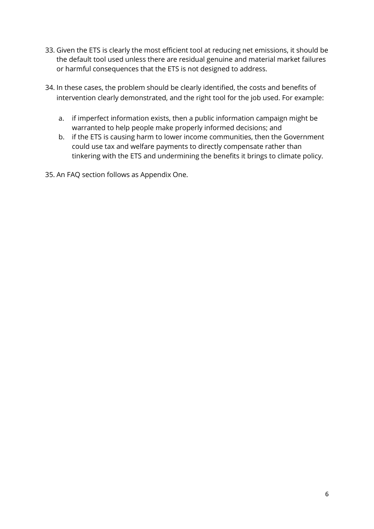- 33. Given the ETS is clearly the most efficient tool at reducing net emissions, it should be the default tool used unless there are residual genuine and material market failures or harmful consequences that the ETS is not designed to address.
- 34. In these cases, the problem should be clearly identified, the costs and benefits of intervention clearly demonstrated, and the right tool for the job used. For example:
	- a. if imperfect information exists, then a public information campaign might be warranted to help people make properly informed decisions; and
	- b. if the ETS is causing harm to lower income communities, then the Government could use tax and welfare payments to directly compensate rather than tinkering with the ETS and undermining the benefits it brings to climate policy.
- 35. An FAQ section follows as Appendix One.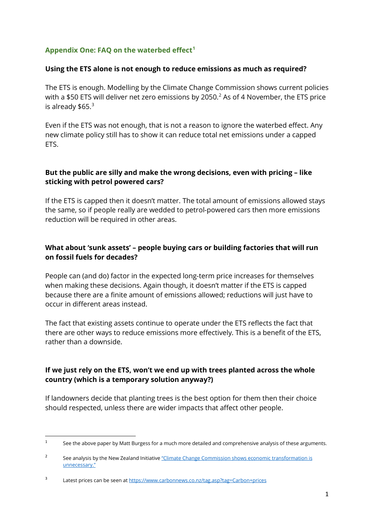# **Appendix One: FAQ on the waterbed effect[1](#page-6-0)**

### **Using the ETS alone is not enough to reduce emissions as much as required?**

The ETS is enough. Modelling by the Climate Change Commission shows current policies with a \$50 ETS will deliver net zero emissions by [2](#page-6-1)050.<sup>2</sup> As of 4 November, the ETS price is already  $$65.<sup>3</sup>$  $$65.<sup>3</sup>$  $$65.<sup>3</sup>$ 

Even if the ETS was not enough, that is not a reason to ignore the waterbed effect. Any new climate policy still has to show it can reduce total net emissions under a capped ETS.

## **But the public are silly and make the wrong decisions, even with pricing – like sticking with petrol powered cars?**

If the ETS is capped then it doesn't matter. The total amount of emissions allowed stays the same, so if people really are wedded to petrol-powered cars then more emissions reduction will be required in other areas.

# **What about 'sunk assets' – people buying cars or building factories that will run on fossil fuels for decades?**

People can (and do) factor in the expected long-term price increases for themselves when making these decisions. Again though, it doesn't matter if the ETS is capped because there are a finite amount of emissions allowed; reductions will just have to occur in different areas instead.

The fact that existing assets continue to operate under the ETS reflects the fact that there are other ways to reduce emissions more effectively. This is a benefit of the ETS, rather than a downside.

# **If we just rely on the ETS, won't we end up with trees planted across the whole country (which is a temporary solution anyway?)**

If landowners decide that planting trees is the best option for them then their choice should respected, unless there are wider impacts that affect other people.

<span id="page-6-0"></span><sup>&</sup>lt;sup>1</sup> See the above paper by Matt Burgess for a much more detailed and comprehensive analysis of these arguments.

<span id="page-6-1"></span><sup>&</sup>lt;sup>2</sup> See analysis by the New Zealand Initiative "Climate Change Commission shows economic transformation is [unnecessary."](https://www.nzinitiative.org.nz/reports-and-media/media/media-release-climate-change-commission-shows-economic-transformation-is-unnecessary/)

<span id="page-6-2"></span><sup>3</sup> Latest prices can be seen a[t https://www.carbonnews.co.nz/tag.asp?tag=Carbon+prices](https://www.carbonnews.co.nz/tag.asp?tag=Carbon+prices)